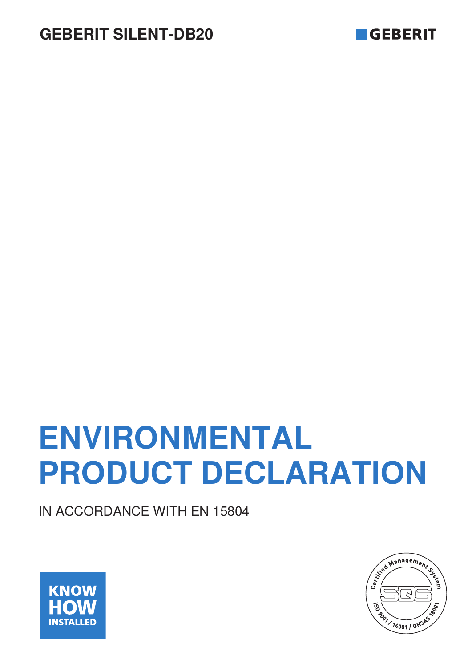

# **ENVIRONMENTAL PRODUCT DECLARATION**

IN ACCORDANCE WITH EN 15804



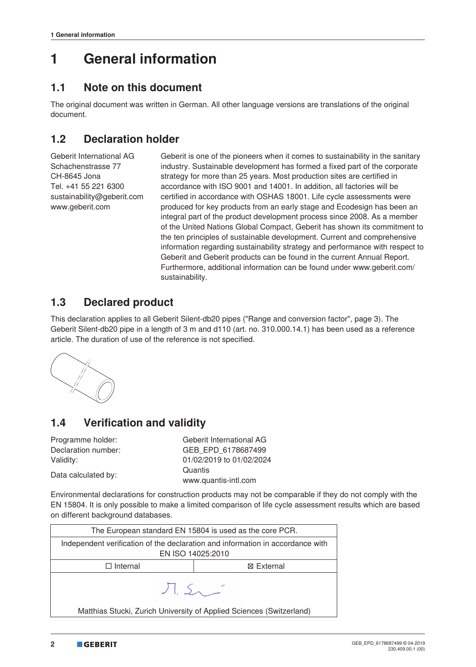### **1 General information**

### **1.1 Note on this document**

The original document was written in German. All other language versions are translations of the original document.

### **1.2 Declaration holder**

Geberit International AG Schachenstrasse 77 CH-8645 Jona Tel. +41 55 221 6300 sustainability@geberit.com www.geberit.com

Geberit is one of the pioneers when it comes to sustainability in the sanitary industry. Sustainable development has formed a fixed part of the corporate strategy for more than 25 years. Most production sites are certified in accordance with ISO 9001 and 14001. In addition, all factories will be certified in accordance with OSHAS 18001. Life cycle assessments were produced for key products from an early stage and Ecodesign has been an integral part of the product development process since 2008. As a member of the United Nations Global Compact, Geberit has shown its commitment to the ten principles of sustainable development. Current and comprehensive information regarding sustainability strategy and performance with respect to Geberit and Geberit products can be found in the current Annual Report. Furthermore, additional information can be found under www.geberit.com/ sustainability.

### **1.3 Declared product**

This declaration applies to all Geberit Silent‑db20 pipes ("Range and conversion factor", page 3). The Geberit Silent-db20 pipe in a length of 3 m and d110 (art. no. 310.000.14.1) has been used as a reference article. The duration of use of the reference is not specified.



### **1.4 Verification and validity**

| Programme holder:   | Geberit International AG |
|---------------------|--------------------------|
| Declaration number: | GEB EPD 6178687499       |
| Validity:           | 01/02/2019 to 01/02/2024 |
|                     | Quantis                  |
| Data calculated by: | www.quantis-intl.com     |

Environmental declarations for construction products may not be comparable if they do not comply with the EN 15804. It is only possible to make a limited comparison of life cycle assessment results which are based on different background databases.

| The European standard EN 15804 is used as the core PCR.                        |                   |  |  |  |  |  |  |  |
|--------------------------------------------------------------------------------|-------------------|--|--|--|--|--|--|--|
| Independent verification of the declaration and information in accordance with |                   |  |  |  |  |  |  |  |
|                                                                                | EN ISO 14025:2010 |  |  |  |  |  |  |  |
| ⊠ External<br>$\Box$ Internal                                                  |                   |  |  |  |  |  |  |  |
| J.S.                                                                           |                   |  |  |  |  |  |  |  |
| Matthias Stucki, Zurich University of Applied Sciences (Switzerland)           |                   |  |  |  |  |  |  |  |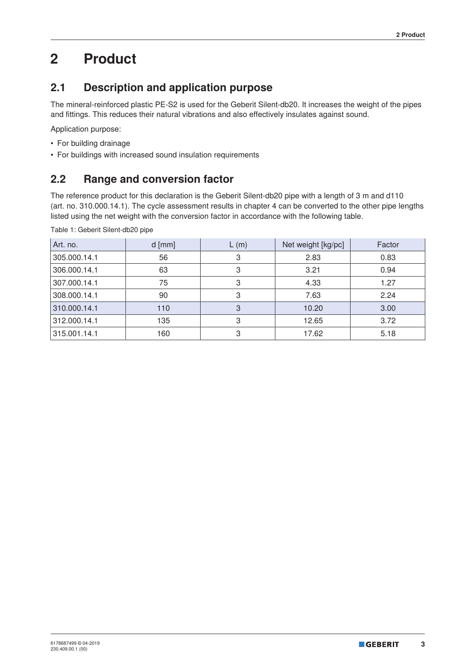# **2 Product**

### **2.1 Description and application purpose**

The mineral-reinforced plastic PE-S2 is used for the Geberit Silent-db20. It increases the weight of the pipes and fittings. This reduces their natural vibrations and also effectively insulates against sound.

Application purpose:

- For building drainage
- For buildings with increased sound insulation requirements

### **2.2 Range and conversion factor**

The reference product for this declaration is the Geberit Silent-db20 pipe with a length of 3 m and d110 (art. no. 310.000.14.1). The cycle assessment results in chapter 4 can be converted to the other pipe lengths listed using the net weight with the conversion factor in accordance with the following table.

Table 1: Geberit Silent-db20 pipe

| Art. no.     | $d$ [mm] | L(m) | Net weight [kg/pc] | Factor |
|--------------|----------|------|--------------------|--------|
| 305.000.14.1 | 56       | З    | 2.83               | 0.83   |
| 306.000.14.1 | 63       | 3    | 3.21               | 0.94   |
| 307.000.14.1 | 75       | 3    | 4.33               | 1.27   |
| 308.000.14.1 | 90       | З    | 7.63               | 2.24   |
| 310.000.14.1 | 110      | 3    | 10.20              | 3.00   |
| 312.000.14.1 | 135      | 3    | 12.65              | 3.72   |
| 315.001.14.1 | 160      | 3    | 17.62              | 5.18   |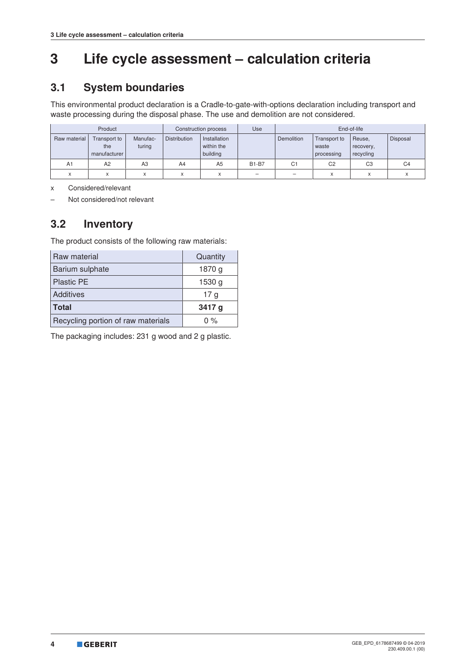# **3 Life cycle assessment – calculation criteria**

### **3.1 System boundaries**

This environmental product declaration is a Cradle-to-gate-with-options declaration including transport and waste processing during the disposal phase. The use and demolition are not considered.

| Product           |                                     |                    |                     | Construction process                   | Use          | End-of-life    |                                     |                                  |                |
|-------------------|-------------------------------------|--------------------|---------------------|----------------------------------------|--------------|----------------|-------------------------------------|----------------------------------|----------------|
| Raw material      | Transport to<br>the<br>manufacturer | Manufac-<br>turing | <b>Distribution</b> | Installation<br>within the<br>building |              | Demolition     | Transport to<br>waste<br>processing | Reuse,<br>recovery,<br>recycling | Disposal       |
| A1                | A2                                  | A3                 | A4                  | A <sub>5</sub>                         | <b>B1-B7</b> | C <sub>1</sub> | C <sub>2</sub>                      | C <sub>3</sub>                   | C <sub>4</sub> |
| $\checkmark$<br>⋏ | $\lambda$<br>⋏                      |                    | X                   |                                        | -            |                | X                                   | $\checkmark$                     |                |

x Considered/relevant

– Not considered/not relevant

### **3.2 Inventory**

The product consists of the following raw materials:

| Raw material                       | Quantity        |
|------------------------------------|-----------------|
| Barium sulphate                    | 1870 g          |
| <b>Plastic PE</b>                  | 1530 g          |
| Additives                          | 17 <sub>g</sub> |
| <b>Total</b>                       | 3417 g          |
| Recycling portion of raw materials | $0\%$           |

The packaging includes: 231 g wood and 2 g plastic.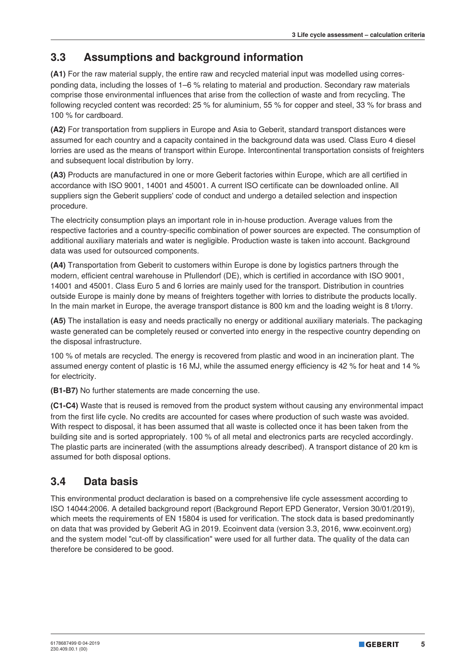### **3.3 Assumptions and background information**

**(A1)** For the raw material supply, the entire raw and recycled material input was modelled using corresponding data, including the losses of 1–6 % relating to material and production. Secondary raw materials comprise those environmental influences that arise from the collection of waste and from recycling. The following recycled content was recorded: 25 % for aluminium, 55 % for copper and steel, 33 % for brass and 100 % for cardboard.

**(A2)** For transportation from suppliers in Europe and Asia to Geberit, standard transport distances were assumed for each country and a capacity contained in the background data was used. Class Euro 4 diesel lorries are used as the means of transport within Europe. Intercontinental transportation consists of freighters and subsequent local distribution by lorry.

**(A3)** Products are manufactured in one or more Geberit factories within Europe, which are all certified in accordance with ISO 9001, 14001 and 45001. A current ISO certificate can be downloaded online. All suppliers sign the Geberit suppliers' code of conduct and undergo a detailed selection and inspection procedure.

The electricity consumption plays an important role in in-house production. Average values from the respective factories and a country-specific combination of power sources are expected. The consumption of additional auxiliary materials and water is negligible. Production waste is taken into account. Background data was used for outsourced components.

**(A4)** Transportation from Geberit to customers within Europe is done by logistics partners through the modern, efficient central warehouse in Pfullendorf (DE), which is certified in accordance with ISO 9001, 14001 and 45001. Class Euro 5 and 6 lorries are mainly used for the transport. Distribution in countries outside Europe is mainly done by means of freighters together with lorries to distribute the products locally. In the main market in Europe, the average transport distance is 800 km and the loading weight is 8 t/lorry.

**(A5)** The installation is easy and needs practically no energy or additional auxiliary materials. The packaging waste generated can be completely reused or converted into energy in the respective country depending on the disposal infrastructure.

100 % of metals are recycled. The energy is recovered from plastic and wood in an incineration plant. The assumed energy content of plastic is 16 MJ, while the assumed energy efficiency is 42 % for heat and 14 % for electricity.

**(B1-B7)** No further statements are made concerning the use.

**(C1-C4)** Waste that is reused is removed from the product system without causing any environmental impact from the first life cycle. No credits are accounted for cases where production of such waste was avoided. With respect to disposal, it has been assumed that all waste is collected once it has been taken from the building site and is sorted appropriately. 100 % of all metal and electronics parts are recycled accordingly. The plastic parts are incinerated (with the assumptions already described). A transport distance of 20 km is assumed for both disposal options.

### **3.4 Data basis**

This environmental product declaration is based on a comprehensive life cycle assessment according to ISO 14044:2006. A detailed background report (Background Report EPD Generator, Version 30/01/2019), which meets the requirements of EN 15804 is used for verification. The stock data is based predominantly on data that was provided by Geberit AG in 2019. Ecoinvent data (version 3.3, 2016, www.ecoinvent.org) and the system model "cut-off by classification" were used for all further data. The quality of the data can therefore be considered to be good.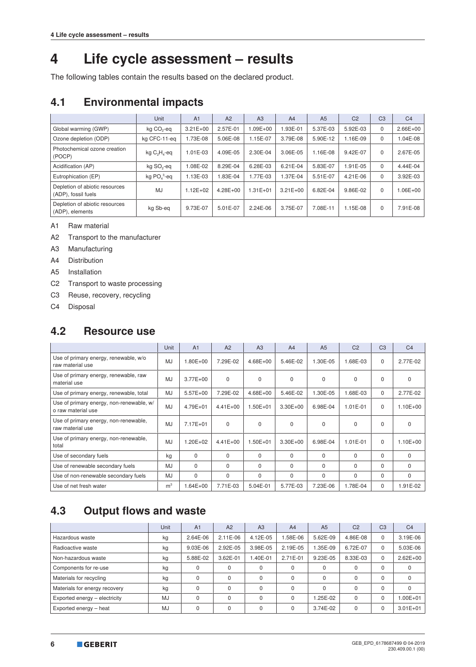### **4 Life cycle assessment – results**

The following tables contain the results based on the declared product.

### **4.1 Environmental impacts**

|                                                       | Unit                   | A <sub>1</sub> | A2           | A3           | A <sub>4</sub> | A <sub>5</sub> | C <sub>2</sub> | C <sub>3</sub> | C <sub>4</sub> |
|-------------------------------------------------------|------------------------|----------------|--------------|--------------|----------------|----------------|----------------|----------------|----------------|
| Global warming (GWP)                                  | kg CO <sub>2</sub> -eq | $3.21E + 00$   | 2.57E-01     | 1.09E+00     | .93E-01        | 5.37E-03       | 5.92E-03       | 0              | $2.66E + 00$   |
| Ozone depletion (ODP)                                 | kg CFC-11-eg           | 1.73E-08       | 5.06E-08     | 1.15E-07     | 3.79E-08       | 5.90E-12       | 1.16E-09       | $\Omega$       | 1.04E-08       |
| Photochemical ozone creation<br>(POCP)                | kg $C_2H_4$ -eq        | 1.01E-03       | 4.09E-05     | 2.30E-04     | 3.06E-05       | 1.16E-08       | 9.42E-07       | $\Omega$       | 2.67E-05       |
| Acidification (AP)                                    | kg SO <sub>2</sub> -eq | 1.08E-02       | 8.29E-04     | 6.28E-03     | $6.21E - 04$   | 5.83E-07       | 1.91E-05       | $\Omega$       | 4.44E-04       |
| Eutrophication (EP)                                   | kg $PO43$ -eq          | 1.13E-03       | 1.83E-04     | 1.77E-03     | 1.37E-04       | 5.51E-07       | 4.21E-06       | $\Omega$       | 3.92E-03       |
| Depletion of abiotic resources<br>(ADP), fossil fuels | MJ                     | $1.12E + 02$   | $4.28E + 00$ | $1.31E + 01$ | $3.21E + 00$   | 6.82E-04       | 9.86E-02       | $\Omega$       | 1.06E+00       |
| Depletion of abiotic resources<br>(ADP), elements     | kg Sb-eg               | 9.73E-07       | 5.01E-07     | $2.24E - 06$ | 3.75E-07       | 7.08E-11       | 1.15E-08       | $\Omega$       | 7.91E-08       |

A1 Raw material

A2 Transport to the manufacturer

A3 Manufacturing

A4 Distribution

A5 Installation

C2 Transport to waste processing

C3 Reuse, recovery, recycling

C4 Disposal

#### **4.2 Resource use**

|                                                                | Unit           | A <sub>1</sub> | A2           | A <sub>3</sub> | A <sub>4</sub> | A <sub>5</sub> | C <sub>2</sub> | C <sub>3</sub> | C <sub>4</sub> |
|----------------------------------------------------------------|----------------|----------------|--------------|----------------|----------------|----------------|----------------|----------------|----------------|
| Use of primary energy, renewable, w/o<br>raw material use      | <b>MJ</b>      | $1.80E + 00$   | 7.29E-02     | $4.68E + 00$   | 5.46E-02       | 1.30E-05       | 1.68E-03       | $\Omega$       | 2.77E-02       |
| Use of primary energy, renewable, raw<br>material use          | <b>MJ</b>      | $3.77E + 00$   | $\Omega$     | $\Omega$       | $\Omega$       | $\Omega$       | $\Omega$       | $\Omega$       | $\Omega$       |
| Use of primary energy, renewable, total                        | MJ             | $5.57E+00$     | 7.29E-02     | $4.68E + 00$   | 5.46E-02       | 1.30E-05       | 1.68E-03       | 0              | 2.77E-02       |
| Use of primary energy, non-renewable, w/<br>o raw material use | MJ             | 4.79E+01       | $4.41E + 00$ | $1.50E + 01$   | $3.30E + 00$   | 6.98E-04       | $1.01E - 01$   | $\Omega$       | $1.10E + 00$   |
| Use of primary energy, non-renewable,<br>raw material use      | <b>MJ</b>      | 7.17E+01       | $\Omega$     | $\Omega$       | 0              | $\mathbf 0$    | $\Omega$       | $\mathbf 0$    | $\mathbf 0$    |
| Use of primary energy, non-renewable,<br>total                 | <b>MJ</b>      | $1.20E + 02$   | $4.41E + 00$ | $1.50E + 01$   | $3.30E + 00$   | 6.98E-04       | $1.01E - 01$   | 0              | 1.10E+00       |
| Use of secondary fuels                                         | kg             | $\Omega$       | $\Omega$     | $\Omega$       | $\Omega$       | $\Omega$       | $\Omega$       | $\Omega$       | $\Omega$       |
| Use of renewable secondary fuels                               | <b>MJ</b>      | $\Omega$       | $\Omega$     | $\Omega$       | 0              | $\mathbf 0$    | $\Omega$       | $\Omega$       | 0              |
| Use of non-renewable secondary fuels                           | <b>MJ</b>      | $\Omega$       | $\Omega$     | $\Omega$       | $\Omega$       | $\Omega$       | $\Omega$       | $\Omega$       | $\Omega$       |
| Use of net fresh water                                         | m <sup>3</sup> | $1.64E + 00$   | 7.71E-03     | 5.04E-01       | 5.77E-03       | 7.23E-06       | 1.78E-04       | $\mathbf 0$    | 1.91E-02       |

### **4.3 Output flows and waste**

|                               | Unit      | A <sub>1</sub> | A2         | A <sub>3</sub> | A <sub>4</sub> | A <sub>5</sub> | C <sub>2</sub> | C <sub>3</sub> | C <sub>4</sub> |
|-------------------------------|-----------|----------------|------------|----------------|----------------|----------------|----------------|----------------|----------------|
| Hazardous waste               | kg        | 2.64E-06       | $2.11E-06$ | 4.12E-05       | $.58E-06$      | 5.62E-09       | 4.86E-08       | $\Omega$       | 3.19E-06       |
| Radioactive waste             | kg        | 9.03E-06       | 2.92E-05   | 3.98E-05       | 2.19E-05       | 1.35E-09       | 6.72E-07       | $\Omega$       | 5.03E-06       |
| Non-hazardous waste           | kg        | 5.88E-02       | 3.62E-01   | $.40E - 01$    | 2.71E-01       | 9.23E-05       | 8.33E-03       | $\mathbf 0$    | $2.62E + 00$   |
| Components for re-use         | kg        | 0              | $\Omega$   | $\Omega$       | $\Omega$       | $\Omega$       |                | $\mathbf 0$    | 0              |
| Materials for recycling       | kg        |                | $\Omega$   | $\Omega$       | $\Omega$       | $\Omega$       |                | $\Omega$       | 0              |
| Materials for energy recovery | kg        | 0              | $\Omega$   | $\Omega$       | $\Omega$       | $\Omega$       |                | $\Omega$       | $\Omega$       |
| Exported energy - electricity | <b>MJ</b> | 0              | $\Omega$   | $\Omega$       | $\Omega$       | 1.25E-02       |                | $\Omega$       | $.00E + 01$    |
| Exported energy - heat        | <b>MJ</b> |                | $\Omega$   | $\Omega$       | $\Omega$       | 3.74E-02       |                | $\Omega$       | $3.01E + 01$   |